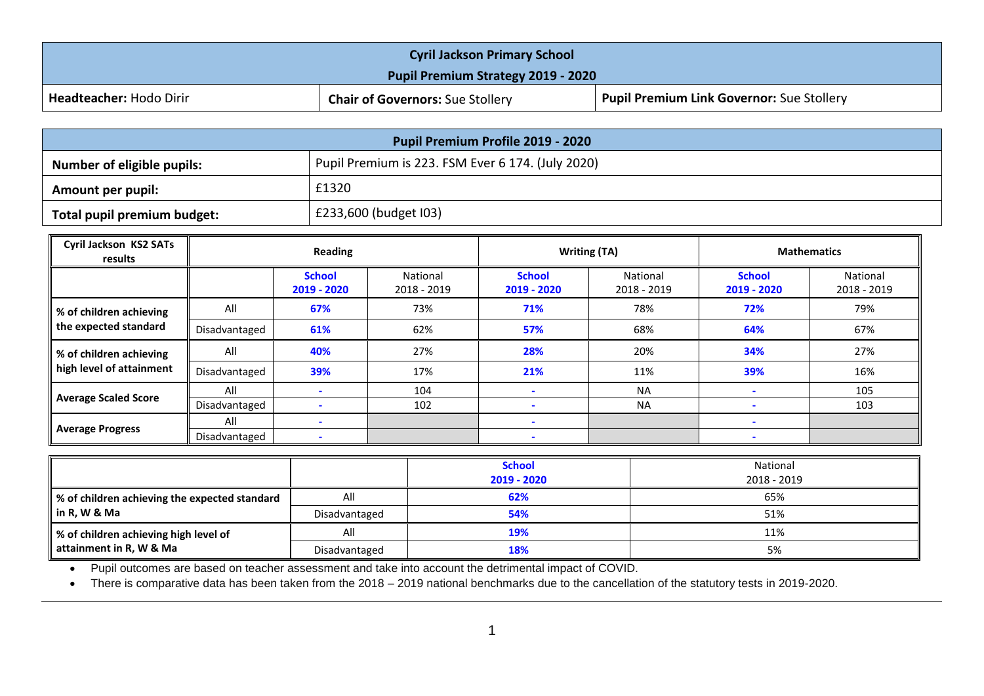| <b>Cyril Jackson Primary School</b>       |                                         |                                                  |  |  |  |
|-------------------------------------------|-----------------------------------------|--------------------------------------------------|--|--|--|
| <b>Pupil Premium Strategy 2019 - 2020</b> |                                         |                                                  |  |  |  |
| <b>Headteacher: Hodo Dirir</b>            | <b>Chair of Governors: Sue Stollery</b> | <b>Pupil Premium Link Governor: Sue Stollery</b> |  |  |  |

| Pupil Premium Profile 2019 - 2020                                               |                       |  |  |  |  |
|---------------------------------------------------------------------------------|-----------------------|--|--|--|--|
| Pupil Premium is 223. FSM Ever 6 174. (July 2020)<br>Number of eligible pupils: |                       |  |  |  |  |
| Amount per pupil:                                                               | £1320                 |  |  |  |  |
| Total pupil premium budget:                                                     | £233,600 (budget I03) |  |  |  |  |

| <b>Cyril Jackson KS2 SATs</b><br>results            | <b>Reading</b> |                              | <b>Writing (TA)</b>     |                              | <b>Mathematics</b>      |                              |                         |
|-----------------------------------------------------|----------------|------------------------------|-------------------------|------------------------------|-------------------------|------------------------------|-------------------------|
|                                                     |                | <b>School</b><br>2019 - 2020 | National<br>2018 - 2019 | <b>School</b><br>2019 - 2020 | National<br>2018 - 2019 | <b>School</b><br>2019 - 2020 | National<br>2018 - 2019 |
| % of children achieving                             | All            | 67%                          | 73%                     | 71%                          | 78%                     | 72%                          | 79%                     |
| the expected standard                               | Disadvantaged  | 61%                          | 62%                     | 57%                          | 68%                     | 64%                          | 67%                     |
| % of children achieving<br>high level of attainment | All            | 40%                          | 27%                     | 28%                          | 20%                     | 34%                          | 27%                     |
|                                                     | Disadvantaged  | 39%                          | 17%                     | 21%                          | 11%                     | 39%                          | 16%                     |
|                                                     | All            |                              | 104                     |                              | <b>NA</b>               | $\overline{\phantom{a}}$     | 105                     |
| <b>Average Scaled Score</b>                         | Disadvantaged  |                              | 102                     |                              | <b>NA</b>               |                              | 103                     |
|                                                     | All            |                              |                         |                              |                         |                              |                         |
| <b>Average Progress</b>                             | Disadvantaged  |                              |                         |                              |                         |                              |                         |

|                                               |               | <b>School</b><br>2019 - 2020 | National<br>2018 - 2019 |
|-----------------------------------------------|---------------|------------------------------|-------------------------|
| % of children achieving the expected standard | All           | 62%                          | 65%                     |
| in R, W & Ma                                  | Disadvantaged | 54%                          | 51%                     |
| ↓ % of children achieving high level of       | All           | 19%                          | 11%                     |
| attainment in R, W & Ma                       | Disadvantaged | 18%                          | 5%                      |

Pupil outcomes are based on teacher assessment and take into account the detrimental impact of COVID.

• There is comparative data has been taken from the 2018 – 2019 national benchmarks due to the cancellation of the statutory tests in 2019-2020.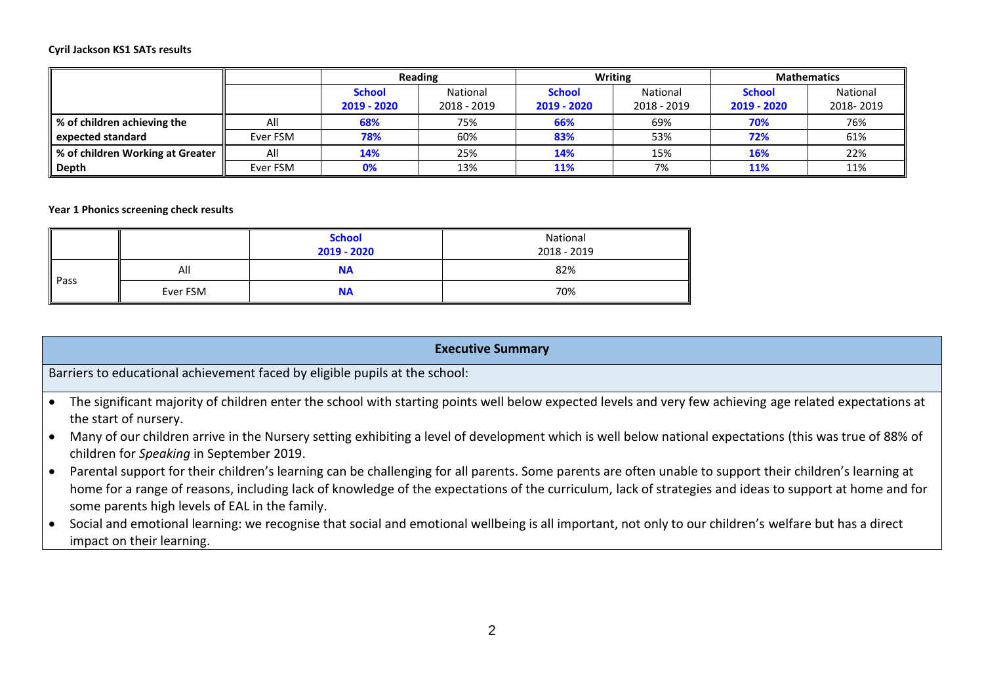#### **Cyril Jackson KS1 SATs results**

|                                      |          | <b>Reading</b> |             |               | <b>Writing</b> | <b>Mathematics</b> |           |
|--------------------------------------|----------|----------------|-------------|---------------|----------------|--------------------|-----------|
|                                      |          | <b>School</b>  | National    | <b>School</b> | National       | <b>School</b>      | National  |
|                                      |          | 2019 - 2020    | 2018 - 2019 | 2019 - 2020   | 2018 - 2019    | 2019 - 2020        | 2018-2019 |
| ■ % of children achieving the        | All      | 68%            | 75%         | 66%           | 69%            | 70%                | 76%       |
| expected standard                    | Ever FSM | 78%            | 60%         | 83%           | 53%            | 72%                | 61%       |
| ■ % of children Working at Greater ■ | All      | 14%            | 25%         | 14%           | 15%            | <b>16%</b>         | 22%       |
| Depth                                | Ever FSM | 0%             | 13%         | 11%           | 7%             | <b>11%</b>         | 11%       |

#### **Year 1 Phonics screening check results**

|      |          | <b>School</b><br>2019 - 2020 | National<br>2018 - 2019 |
|------|----------|------------------------------|-------------------------|
| Pass | All      | <b>NA</b>                    | 82%                     |
|      | Ever FSM | <b>NA</b>                    | 70%                     |

### **Executive Summary**

Barriers to educational achievement faced by eligible pupils at the school:

- The significant majority of children enter the school with starting points well below expected levels and very few achieving age related expectations at the start of nursery.
- Many of our children arrive in the Nursery setting exhibiting a level of development which is well below national expectations (this was true of 88% of children for *Speaking* in September 2019.
- Parental support for their children's learning can be challenging for all parents. Some parents are often unable to support their children's learning at home for a range of reasons, including lack of knowledge of the expectations of the curriculum, lack of strategies and ideas to support at home and for some parents high levels of EAL in the family.
- Social and emotional learning: we recognise that social and emotional wellbeing is all important, not only to our children's welfare but has a direct impact on their learning.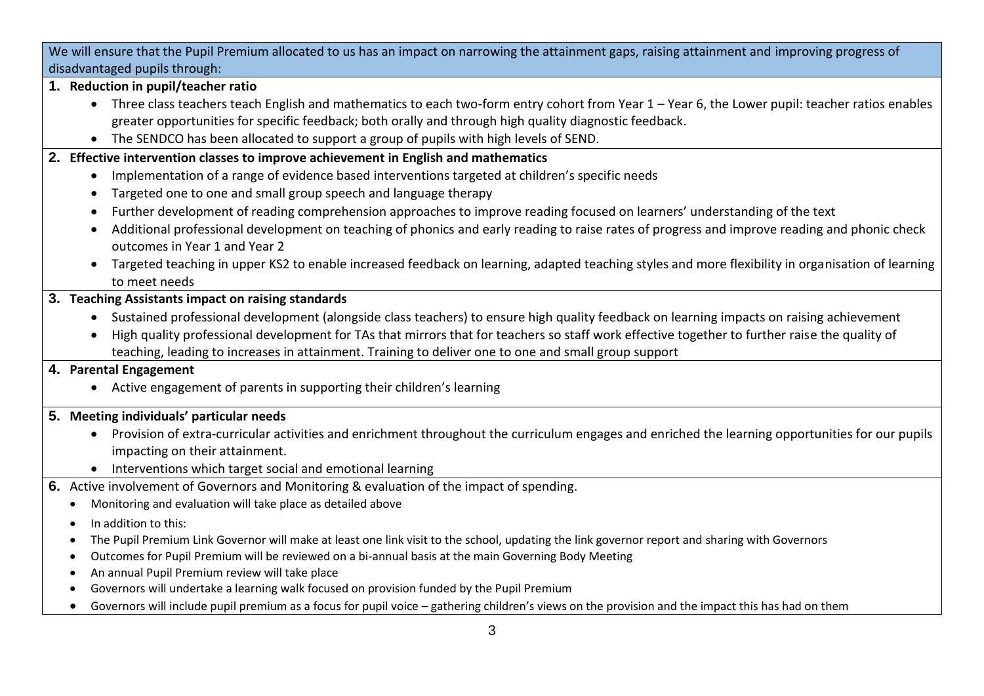We will ensure that the Pupil Premium allocated to us has an impact on narrowing the attainment gaps, raising attainment and improving progress of disadvantaged pupils through:

- **1. Reduction in pupil/teacher ratio**
	- Three class teachers teach English and mathematics to each two-form entry cohort from Year 1 Year 6, the Lower pupil: teacher ratios enables greater opportunities for specific feedback; both orally and through high quality diagnostic feedback.
	- The SENDCO has been allocated to support a group of pupils with high levels of SEND.
- **2. Effective intervention classes to improve achievement in English and mathematics** 
	- Implementation of a range of evidence based interventions targeted at children's specific needs
	- Targeted one to one and small group speech and language therapy
	- Further development of reading comprehension approaches to improve reading focused on learners' understanding of the text
	- Additional professional development on teaching of phonics and early reading to raise rates of progress and improve reading and phonic check outcomes in Year 1 and Year 2
	- Targeted teaching in upper KS2 to enable increased feedback on learning, adapted teaching styles and more flexibility in organisation of learning to meet needs
- **3. Teaching Assistants impact on raising standards** 
	- Sustained professional development (alongside class teachers) to ensure high quality feedback on learning impacts on raising achievement
	- High quality professional development for TAs that mirrors that for teachers so staff work effective together to further raise the quality of teaching, leading to increases in attainment. Training to deliver one to one and small group support

## **4. Parental Engagement**

Active engagement of parents in supporting their children's learning

# **5. Meeting individuals' particular needs**

- Provision of extra-curricular activities and enrichment throughout the curriculum engages and enriched the learning opportunities for our pupils impacting on their attainment.
- Interventions which target social and emotional learning
- **6.** Active involvement of Governors and Monitoring & evaluation of the impact of spending.
	- Monitoring and evaluation will take place as detailed above
	- In addition to this:
	- The Pupil Premium Link Governor will make at least one link visit to the school, updating the link governor report and sharing with Governors
	- Outcomes for Pupil Premium will be reviewed on a bi-annual basis at the main Governing Body Meeting
	- An annual Pupil Premium review will take place
	- Governors will undertake a learning walk focused on provision funded by the Pupil Premium
	- Governors will include pupil premium as a focus for pupil voice gathering children's views on the provision and the impact this has had on them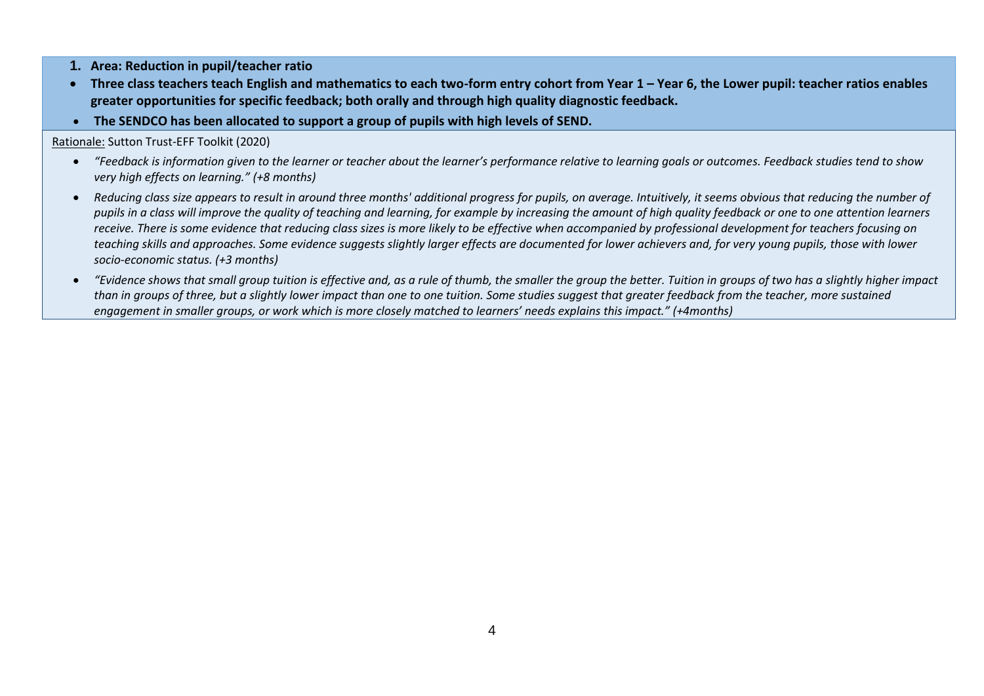- **1. Area: Reduction in pupil/teacher ratio**
- **•** Three class teachers teach English and mathematics to each two-form entry cohort from Year 1 Year 6, the Lower pupil: teacher ratios enables **greater opportunities for specific feedback; both orally and through high quality diagnostic feedback.**
- **The SENDCO has been allocated to support a group of pupils with high levels of SEND.**

Rationale: Sutton Trust-EFF Toolkit (2020)

- *"Feedback is information given to the learner or teacher about the learner's performance relative to learning goals or outcomes. Feedback studies tend to show very high effects on learning." (+8 months)*
- *Reducing class size appears to result in around three months' additional progress for pupils, on average. Intuitively, it seems obvious that reducing the number of pupils in a class will improve the quality of teaching and learning, for example by increasing the amount of high quality feedback or one to one attention learners receive. There is some evidence that reducing class sizes is more likely to be effective when accompanied by professional development for teachers focusing on*  teaching skills and approaches. Some evidence suggests slightly larger effects are documented for lower achievers and, for very young pupils, those with lower *socio-economic status. (+3 months)*
- *"Evidence shows that small group tuition is effective and, as a rule of thumb, the smaller the group the better. Tuition in groups of two has a slightly higher impact than in groups of three, but a slightly lower impact than one to one tuition. Some studies suggest that greater feedback from the teacher, more sustained engagement in smaller groups, or work which is more closely matched to learners' needs explains this impact." (+4months)*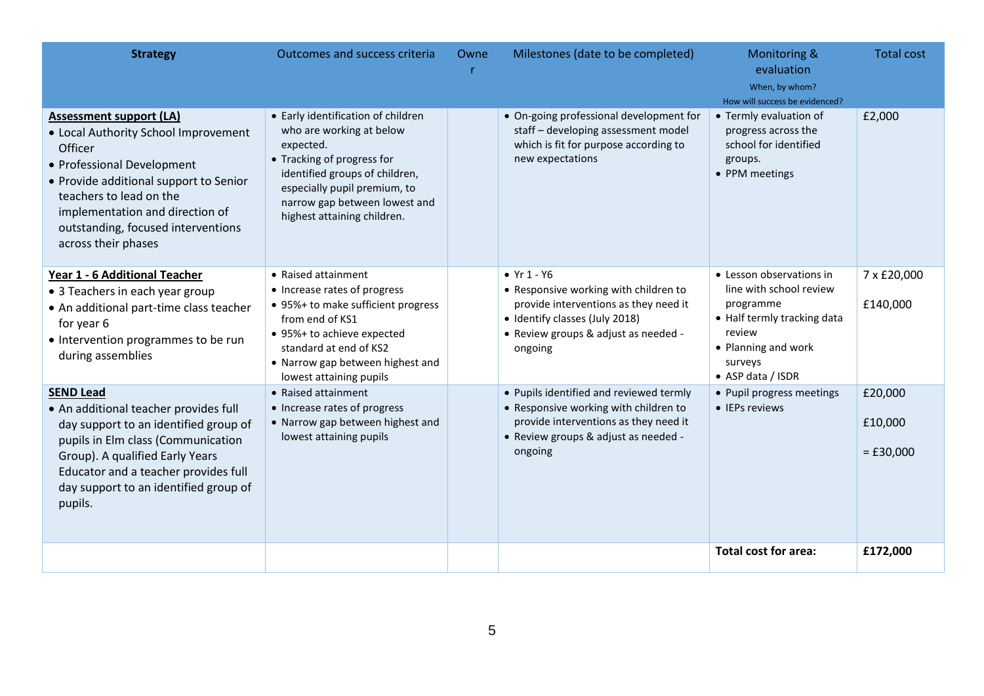| <b>Strategy</b>                                                                                                                                                                                                                                                                      | <b>Outcomes and success criteria</b>                                                                                                                                                                                                        | Owne | Milestones (date to be completed)                                                                                                                                                    | Monitoring &<br>evaluation<br>When, by whom?<br>How will success be evidenced?                                                                                   | <b>Total cost</b>                 |
|--------------------------------------------------------------------------------------------------------------------------------------------------------------------------------------------------------------------------------------------------------------------------------------|---------------------------------------------------------------------------------------------------------------------------------------------------------------------------------------------------------------------------------------------|------|--------------------------------------------------------------------------------------------------------------------------------------------------------------------------------------|------------------------------------------------------------------------------------------------------------------------------------------------------------------|-----------------------------------|
| <b>Assessment support (LA)</b><br>• Local Authority School Improvement<br>Officer<br>• Professional Development<br>• Provide additional support to Senior<br>teachers to lead on the<br>implementation and direction of<br>outstanding, focused interventions<br>across their phases | • Early identification of children<br>who are working at below<br>expected.<br>• Tracking of progress for<br>identified groups of children,<br>especially pupil premium, to<br>narrow gap between lowest and<br>highest attaining children. |      | • On-going professional development for<br>staff - developing assessment model<br>which is fit for purpose according to<br>new expectations                                          | • Termly evaluation of<br>progress across the<br>school for identified<br>groups.<br>• PPM meetings                                                              | £2,000                            |
| Year 1 - 6 Additional Teacher<br>• 3 Teachers in each year group<br>• An additional part-time class teacher<br>for year 6<br>• Intervention programmes to be run<br>during assemblies                                                                                                | • Raised attainment<br>• Increase rates of progress<br>• 95%+ to make sufficient progress<br>from end of KS1<br>• 95%+ to achieve expected<br>standard at end of KS2<br>• Narrow gap between highest and<br>lowest attaining pupils         |      | • $Yr 1 - Y6$<br>• Responsive working with children to<br>provide interventions as they need it<br>• Identify classes (July 2018)<br>• Review groups & adjust as needed -<br>ongoing | • Lesson observations in<br>line with school review<br>programme<br>• Half termly tracking data<br>review<br>• Planning and work<br>surveys<br>• ASP data / ISDR | 7 x £20,000<br>£140,000           |
| <b>SEND Lead</b><br>• An additional teacher provides full<br>day support to an identified group of<br>pupils in Elm class (Communication<br>Group). A qualified Early Years<br>Educator and a teacher provides full<br>day support to an identified group of<br>pupils.              | • Raised attainment<br>• Increase rates of progress<br>• Narrow gap between highest and<br>lowest attaining pupils                                                                                                                          |      | • Pupils identified and reviewed termly<br>• Responsive working with children to<br>provide interventions as they need it<br>• Review groups & adjust as needed -<br>ongoing         | • Pupil progress meetings<br>• IEPs reviews                                                                                                                      | £20,000<br>£10,000<br>$=$ £30,000 |
|                                                                                                                                                                                                                                                                                      |                                                                                                                                                                                                                                             |      |                                                                                                                                                                                      | <b>Total cost for area:</b>                                                                                                                                      | £172,000                          |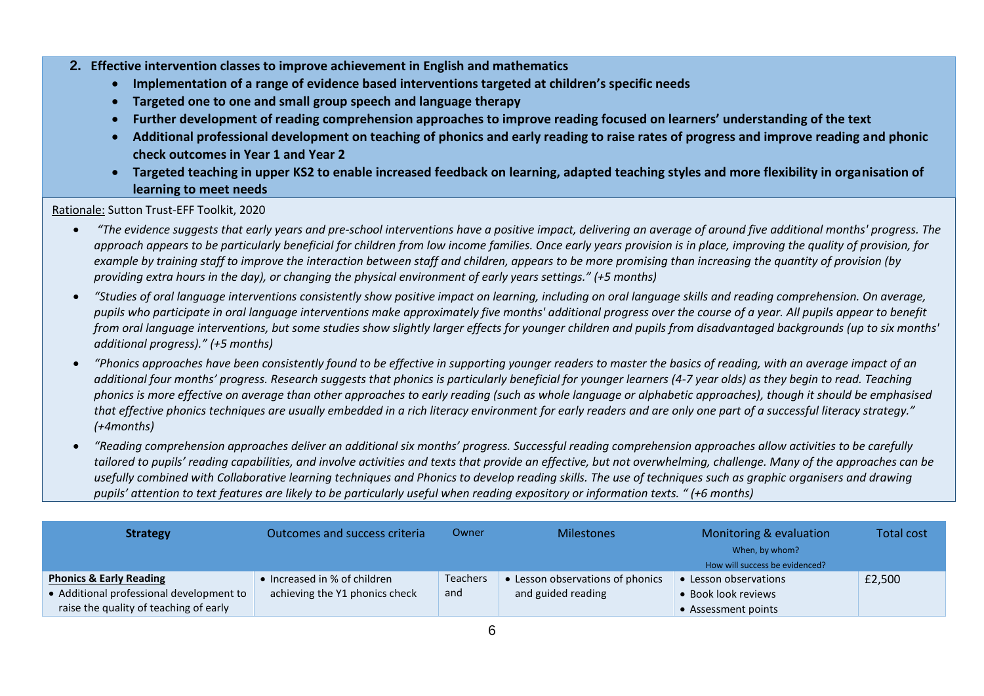- **2. Effective intervention classes to improve achievement in English and mathematics** 
	- **Implementation of a range of evidence based interventions targeted at children's specific needs**
	- **Targeted one to one and small group speech and language therapy**
	- **Further development of reading comprehension approaches to improve reading focused on learners' understanding of the text**
	- **Additional professional development on teaching of phonics and early reading to raise rates of progress and improve reading and phonic check outcomes in Year 1 and Year 2**
	- **Targeted teaching in upper KS2 to enable increased feedback on learning, adapted teaching styles and more flexibility in organisation of learning to meet needs**

Rationale: Sutton Trust-EFF Toolkit, 2020

- *"The evidence suggests that early years and pre-school interventions have a positive impact, delivering an average of around five additional months' progress. The approach appears to be particularly beneficial for children from low income families. Once early years provision is in place, improving the quality of provision, for example by training staff to improve the interaction between staff and children, appears to be more promising than increasing the quantity of provision (by providing extra hours in the day), or changing the physical environment of early years settings." (+5 months)*
- **•** "Studies of oral language interventions consistently show positive impact on learning, including on oral language skills and reading comprehension. On average, *pupils who participate in oral language interventions make approximately five months' additional progress over the course of a year. All pupils appear to benefit from oral language interventions, but some studies show slightly larger effects for younger children and pupils from disadvantaged backgrounds (up to six months' additional progress)." (+5 months)*
- *"Phonics approaches have been consistently found to be effective in supporting younger readers to master the basics of reading, with an average impact of an additional four months' progress. Research suggests that phonics is particularly beneficial for younger learners (4-7 year olds) as they begin to read. Teaching phonics is more effective on average than other approaches to early reading (such as whole language or alphabetic approaches), though it should be emphasised that effective phonics techniques are usually embedded in a rich literacy environment for early readers and are only one part of a successful literacy strategy." (+4months)*
- *"Reading comprehension approaches deliver an additional six months' progress. Successful reading comprehension approaches allow activities to be carefully tailored to pupils' reading capabilities, and involve activities and texts that provide an effective, but not overwhelming, challenge. Many of the approaches can be usefully combined with [Collaborative learning](https://educationendowmentfoundation.org.uk/evidence-summaries/teaching-learning-toolkit/collaborative-learning/) techniques and [Phonics](https://educationendowmentfoundation.org.uk/evidence-summaries/teaching-learning-toolkit/phonics/) to develop reading skills. The use of techniques such as graphic organisers and drawing pupils' attention to text features are likely to be particularly useful when reading expository or information texts. " (+6 months)*

| <b>Strategy</b>                                                                                                          | Outcomes and success criteria                                  | Owner                  | <b>Milestones</b>                                      | Monitoring & evaluation<br>When, by whom?<br>How will success be evidenced? | <b>Total cost</b> |
|--------------------------------------------------------------------------------------------------------------------------|----------------------------------------------------------------|------------------------|--------------------------------------------------------|-----------------------------------------------------------------------------|-------------------|
| <b>Phonics &amp; Early Reading</b><br>• Additional professional development to<br>raise the quality of teaching of early | • Increased in % of children<br>achieving the Y1 phonics check | <b>Teachers</b><br>and | • Lesson observations of phonics<br>and guided reading | • Lesson observations<br>• Book look reviews<br>• Assessment points         | £2,500            |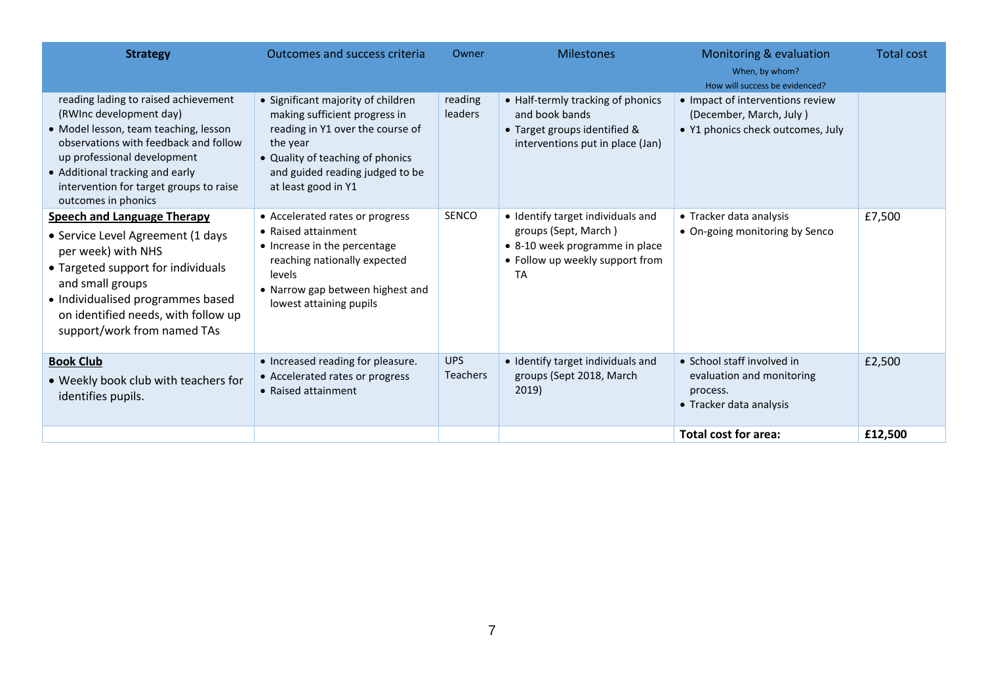| <b>Strategy</b>                                                                                                                                                                                                                                                                       | <b>Outcomes and success criteria</b>                                                                                                                                                                              | Owner                     | <b>Milestones</b>                                                                                                                    | Monitoring & evaluation<br>When, by whom?<br>How will success be evidenced?                      | <b>Total cost</b> |
|---------------------------------------------------------------------------------------------------------------------------------------------------------------------------------------------------------------------------------------------------------------------------------------|-------------------------------------------------------------------------------------------------------------------------------------------------------------------------------------------------------------------|---------------------------|--------------------------------------------------------------------------------------------------------------------------------------|--------------------------------------------------------------------------------------------------|-------------------|
| reading lading to raised achievement<br>(RWInc development day)<br>• Model lesson, team teaching, lesson<br>observations with feedback and follow<br>up professional development<br>• Additional tracking and early<br>intervention for target groups to raise<br>outcomes in phonics | • Significant majority of children<br>making sufficient progress in<br>reading in Y1 over the course of<br>the year<br>• Quality of teaching of phonics<br>and guided reading judged to be<br>at least good in Y1 | reading<br><b>leaders</b> | • Half-termly tracking of phonics<br>and book bands<br>• Target groups identified &<br>interventions put in place (Jan)              | • Impact of interventions review<br>(December, March, July)<br>• Y1 phonics check outcomes, July |                   |
| <b>Speech and Language Therapy</b><br>• Service Level Agreement (1 days<br>per week) with NHS<br>• Targeted support for individuals<br>and small groups<br>• Individualised programmes based<br>on identified needs, with follow up<br>support/work from named TAs                    | • Accelerated rates or progress<br>• Raised attainment<br>• Increase in the percentage<br>reaching nationally expected<br>levels<br>• Narrow gap between highest and<br>lowest attaining pupils                   | SENCO                     | • Identify target individuals and<br>groups (Sept, March)<br>• 8-10 week programme in place<br>• Follow up weekly support from<br>TA | • Tracker data analysis<br>• On-going monitoring by Senco                                        | £7,500            |
| <b>Book Club</b><br>. Weekly book club with teachers for<br>identifies pupils.                                                                                                                                                                                                        | • Increased reading for pleasure.<br>• Accelerated rates or progress<br>• Raised attainment                                                                                                                       | <b>UPS</b><br>Teachers    | • Identify target individuals and<br>groups (Sept 2018, March<br>2019)                                                               | • School staff involved in<br>evaluation and monitoring<br>process.<br>• Tracker data analysis   | £2,500            |
|                                                                                                                                                                                                                                                                                       |                                                                                                                                                                                                                   |                           |                                                                                                                                      | <b>Total cost for area:</b>                                                                      | £12,500           |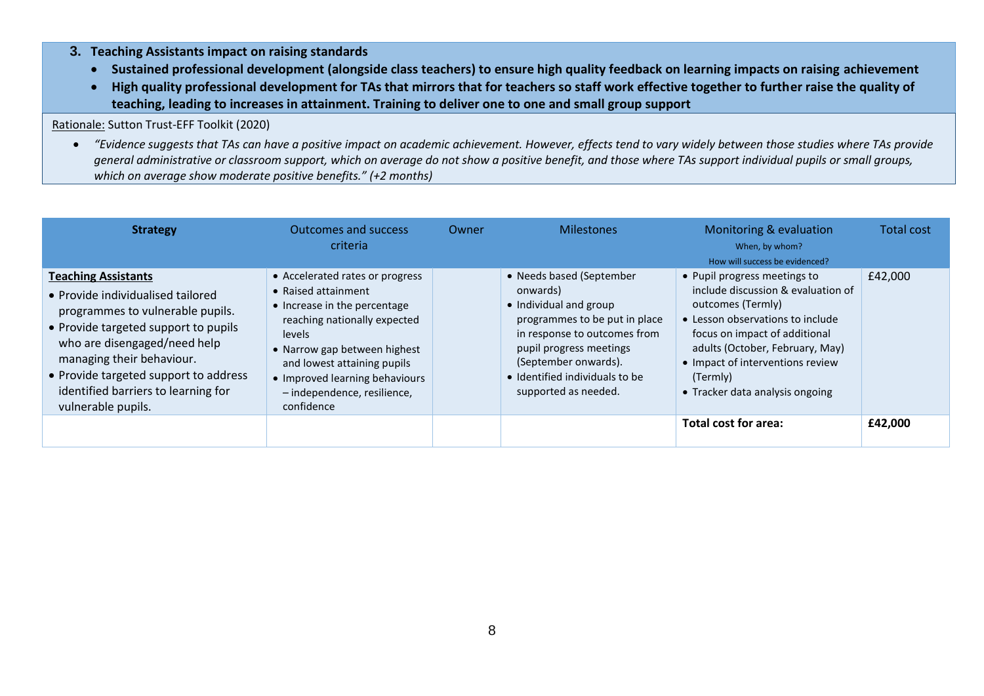- **3. Teaching Assistants impact on raising standards** 
	- **Sustained professional development (alongside class teachers) to ensure high quality feedback on learning impacts on raising achievement**
	- **High quality professional development for TAs that mirrors that for teachers so staff work effective together to further raise the quality of teaching, leading to increases in attainment. Training to deliver one to one and small group support**

### Rationale: Sutton Trust-EFF Toolkit (2020)

 *"Evidence suggests that TAs can have a positive impact on academic achievement. However, effects tend to vary widely between those studies where TAs provide general administrative or classroom support, which on average do not show a positive benefit, and those where TAs support individual pupils or small groups, which on average show moderate positive benefits." (+2 months)*

| <b>Strategy</b>                                                                                                                                                                                                                                                                                                | <b>Outcomes and success</b><br>criteria                                                                                                                                                                                                                                        | Owner | <b>Milestones</b>                                                                                                                                                                                                                            | Monitoring & evaluation<br>When, by whom?<br>How will success be evidenced?                                                                                                                                                                                                        | <b>Total cost</b> |
|----------------------------------------------------------------------------------------------------------------------------------------------------------------------------------------------------------------------------------------------------------------------------------------------------------------|--------------------------------------------------------------------------------------------------------------------------------------------------------------------------------------------------------------------------------------------------------------------------------|-------|----------------------------------------------------------------------------------------------------------------------------------------------------------------------------------------------------------------------------------------------|------------------------------------------------------------------------------------------------------------------------------------------------------------------------------------------------------------------------------------------------------------------------------------|-------------------|
| <b>Teaching Assistants</b><br>• Provide individualised tailored<br>programmes to vulnerable pupils.<br>• Provide targeted support to pupils<br>who are disengaged/need help<br>managing their behaviour.<br>• Provide targeted support to address<br>identified barriers to learning for<br>vulnerable pupils. | • Accelerated rates or progress<br>• Raised attainment<br>• Increase in the percentage<br>reaching nationally expected<br>levels<br>• Narrow gap between highest<br>and lowest attaining pupils<br>• Improved learning behaviours<br>- independence, resilience,<br>confidence |       | • Needs based (September<br>onwards)<br>• Individual and group<br>programmes to be put in place<br>in response to outcomes from<br>pupil progress meetings<br>(September onwards).<br>• Identified individuals to be<br>supported as needed. | • Pupil progress meetings to<br>include discussion & evaluation of<br>outcomes (Termly)<br>• Lesson observations to include<br>focus on impact of additional<br>adults (October, February, May)<br>• Impact of interventions review<br>(Termly)<br>• Tracker data analysis ongoing | £42,000           |
|                                                                                                                                                                                                                                                                                                                |                                                                                                                                                                                                                                                                                |       |                                                                                                                                                                                                                                              | Total cost for area:                                                                                                                                                                                                                                                               | £42,000           |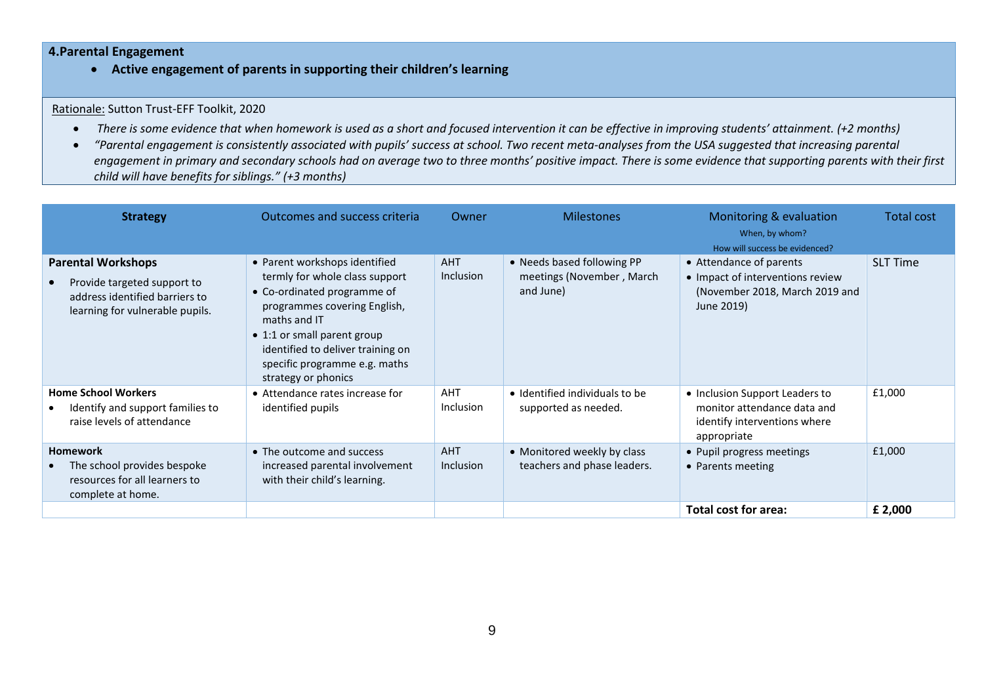### **4.Parental Engagement**

**Active engagement of parents in supporting their children's learning**

Rationale: Sutton Trust-EFF Toolkit, 2020

- There is some evidence that when homework is used as a short and focused intervention it can be effective in improving students' attainment. (+2 months)
- *"Parental engagement is consistently associated with pupils' success at school. Two recent meta-analyses from the USA suggested that increasing parental*  engagement in primary and secondary schools had on average two to three months' positive *impact. There is some evidence that supporting parents with their first child will have benefits for siblings." (+3 months)*

| <b>Strategy</b>                                                                                                               | Outcomes and success criteria                                                                                                                                                                                                                                              | Owner                          | <b>Milestones</b>                                                    | Monitoring & evaluation<br>When, by whom?<br>How will success be evidenced?                                  | <b>Total cost</b> |
|-------------------------------------------------------------------------------------------------------------------------------|----------------------------------------------------------------------------------------------------------------------------------------------------------------------------------------------------------------------------------------------------------------------------|--------------------------------|----------------------------------------------------------------------|--------------------------------------------------------------------------------------------------------------|-------------------|
| <b>Parental Workshops</b><br>Provide targeted support to<br>address identified barriers to<br>learning for vulnerable pupils. | • Parent workshops identified<br>termly for whole class support<br>• Co-ordinated programme of<br>programmes covering English,<br>maths and IT<br>• 1:1 or small parent group<br>identified to deliver training on<br>specific programme e.g. maths<br>strategy or phonics | <b>AHT</b><br><b>Inclusion</b> | • Needs based following PP<br>meetings (November, March<br>and June) | • Attendance of parents<br>• Impact of interventions review<br>(November 2018, March 2019 and<br>June 2019)  | <b>SLT Time</b>   |
| <b>Home School Workers</b><br>Identify and support families to<br>raise levels of attendance                                  | • Attendance rates increase for<br>identified pupils                                                                                                                                                                                                                       | AHT<br><b>Inclusion</b>        | • Identified individuals to be<br>supported as needed.               | • Inclusion Support Leaders to<br>monitor attendance data and<br>identify interventions where<br>appropriate | £1,000            |
| <b>Homework</b><br>The school provides bespoke<br>resources for all learners to<br>complete at home.                          | • The outcome and success<br>increased parental involvement<br>with their child's learning.                                                                                                                                                                                | <b>AHT</b><br><b>Inclusion</b> | • Monitored weekly by class<br>teachers and phase leaders.           | • Pupil progress meetings<br>• Parents meeting                                                               | £1,000            |
|                                                                                                                               |                                                                                                                                                                                                                                                                            |                                |                                                                      | Total cost for area:                                                                                         | £ 2,000           |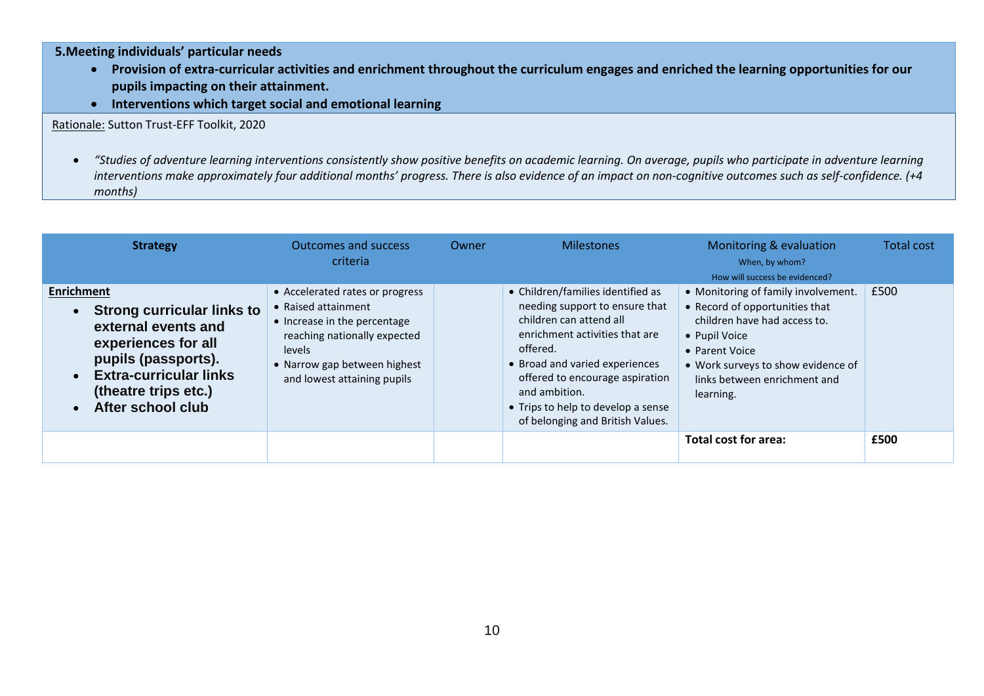**5.Meeting individuals' particular needs** 

- **Provision of extra-curricular activities and enrichment throughout the curriculum engages and enriched the learning opportunities for our pupils impacting on their attainment.**
- **Interventions which target social and emotional learning**

Rationale: Sutton Trust-EFF Toolkit, 2020

 *"Studies of adventure learning interventions consistently show positive benefits on academic learning. On average, pupils who participate in adventure learning interventions make approximately four additional months' progress. There is also evidence of an impact on non-cognitive outcomes such as self-confidence. (+4 months)*

| <b>Strategy</b>                                                                                                                                                                                           | <b>Outcomes and success</b><br>criteria                                                                                                                                                         | Owner | <b>Milestones</b>                                                                                                                                                                                                                                                                                            | Monitoring & evaluation<br>When, by whom?<br>How will success be evidenced?                                                                                                                                                 | Total cost |
|-----------------------------------------------------------------------------------------------------------------------------------------------------------------------------------------------------------|-------------------------------------------------------------------------------------------------------------------------------------------------------------------------------------------------|-------|--------------------------------------------------------------------------------------------------------------------------------------------------------------------------------------------------------------------------------------------------------------------------------------------------------------|-----------------------------------------------------------------------------------------------------------------------------------------------------------------------------------------------------------------------------|------------|
| <b>Enrichment</b><br><b>Strong curricular links to</b><br>external events and<br>experiences for all<br>pupils (passports).<br><b>Extra-curricular links</b><br>(theatre trips etc.)<br>After school club | • Accelerated rates or progress<br>• Raised attainment<br>• Increase in the percentage<br>reaching nationally expected<br>levels<br>• Narrow gap between highest<br>and lowest attaining pupils |       | • Children/families identified as<br>needing support to ensure that<br>children can attend all<br>enrichment activities that are<br>offered.<br>• Broad and varied experiences<br>offered to encourage aspiration<br>and ambition.<br>• Trips to help to develop a sense<br>of belonging and British Values. | • Monitoring of family involvement.<br>• Record of opportunities that<br>children have had access to.<br>• Pupil Voice<br>• Parent Voice<br>• Work surveys to show evidence of<br>links between enrichment and<br>learning. | £500       |
|                                                                                                                                                                                                           |                                                                                                                                                                                                 |       |                                                                                                                                                                                                                                                                                                              | Total cost for area:                                                                                                                                                                                                        | £500       |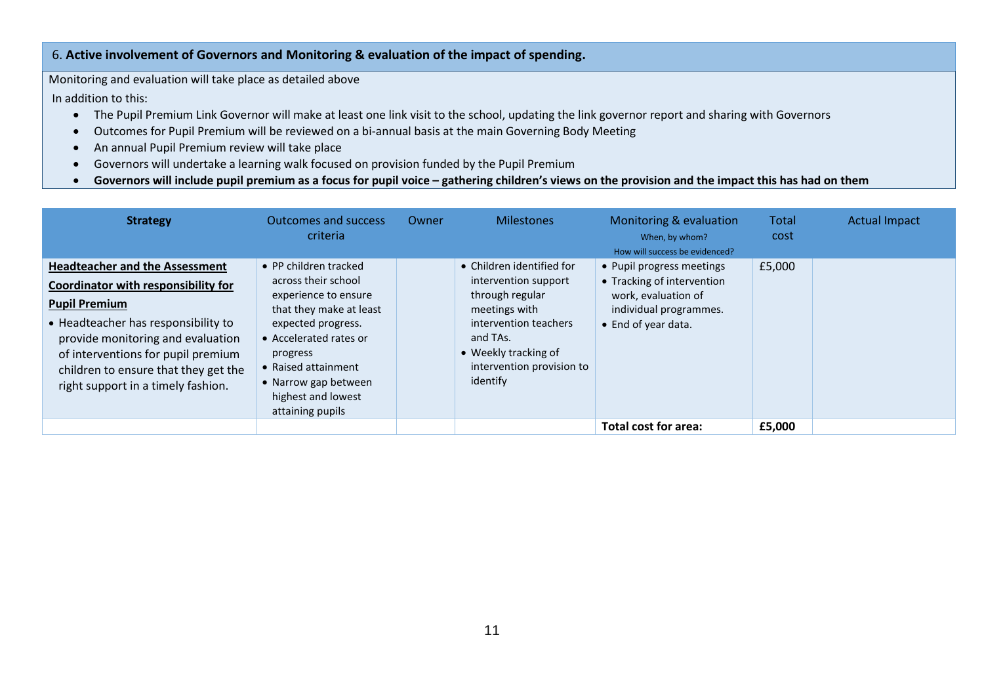## 6. **Active involvement of Governors and Monitoring & evaluation of the impact of spending.**

Monitoring and evaluation will take place as detailed above

In addition to this:

- The Pupil Premium Link Governor will make at least one link visit to the school, updating the link governor report and sharing with Governors
- Outcomes for Pupil Premium will be reviewed on a bi-annual basis at the main Governing Body Meeting
- An annual Pupil Premium review will take place
- Governors will undertake a learning walk focused on provision funded by the Pupil Premium
- **•** Governors will include pupil premium as a focus for pupil voice gathering children's views on the provision and the impact this has had on them

| <b>Strategy</b>                                                                                                                                                                                                                                                                                             | <b>Outcomes and success</b><br>criteria                                                                                                                                                                                                              | Owner | <b>Milestones</b>                                                                                                                                                                           | Monitoring & evaluation<br>When, by whom?<br>How will success be evidenced?                                                     | Total<br>cost | <b>Actual Impact</b> |
|-------------------------------------------------------------------------------------------------------------------------------------------------------------------------------------------------------------------------------------------------------------------------------------------------------------|------------------------------------------------------------------------------------------------------------------------------------------------------------------------------------------------------------------------------------------------------|-------|---------------------------------------------------------------------------------------------------------------------------------------------------------------------------------------------|---------------------------------------------------------------------------------------------------------------------------------|---------------|----------------------|
| <b>Headteacher and the Assessment</b><br><b>Coordinator with responsibility for</b><br><b>Pupil Premium</b><br>• Headteacher has responsibility to<br>provide monitoring and evaluation<br>of interventions for pupil premium<br>children to ensure that they get the<br>right support in a timely fashion. | • PP children tracked<br>across their school<br>experience to ensure<br>that they make at least<br>expected progress.<br>• Accelerated rates or<br>progress<br>• Raised attainment<br>• Narrow gap between<br>highest and lowest<br>attaining pupils |       | • Children identified for<br>intervention support<br>through regular<br>meetings with<br>intervention teachers<br>and TAs.<br>• Weekly tracking of<br>intervention provision to<br>identify | • Pupil progress meetings<br>• Tracking of intervention<br>work, evaluation of<br>individual programmes.<br>• End of year data. | £5,000        |                      |
|                                                                                                                                                                                                                                                                                                             |                                                                                                                                                                                                                                                      |       |                                                                                                                                                                                             | Total cost for area:                                                                                                            | £5,000        |                      |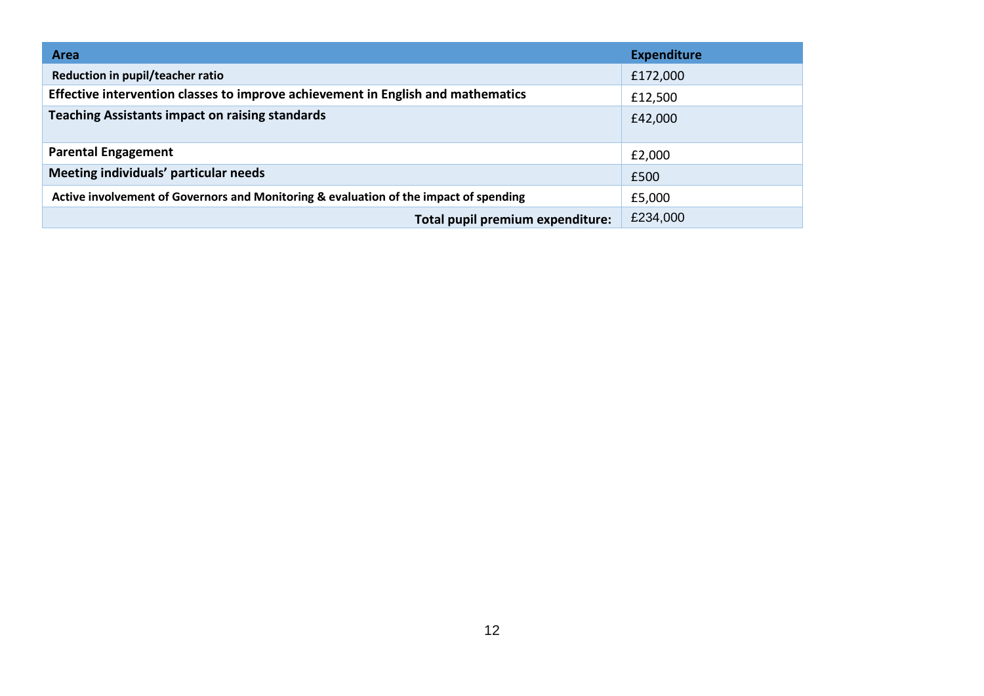| <b>Area</b>                                                                           | <b>Expenditure</b> |  |  |
|---------------------------------------------------------------------------------------|--------------------|--|--|
| Reduction in pupil/teacher ratio                                                      | £172,000           |  |  |
| Effective intervention classes to improve achievement in English and mathematics      | £12,500            |  |  |
| <b>Teaching Assistants impact on raising standards</b>                                | £42,000            |  |  |
| <b>Parental Engagement</b>                                                            | £2,000             |  |  |
| Meeting individuals' particular needs                                                 | £500               |  |  |
| Active involvement of Governors and Monitoring & evaluation of the impact of spending | £5,000             |  |  |
| Total pupil premium expenditure:                                                      | £234,000           |  |  |